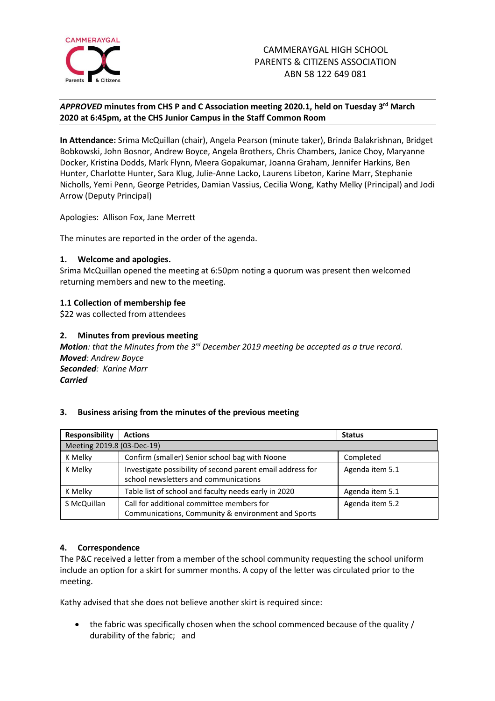

# *APPROVED* **minutes from CHS P and C Association meeting 2020.1, held on Tuesday 3 rd March 2020 at 6:45pm, at the CHS Junior Campus in the Staff Common Room**

**In Attendance:** Srima McQuillan (chair), Angela Pearson (minute taker), Brinda Balakrishnan, Bridget Bobkowski, John Bosnor, Andrew Boyce, Angela Brothers, Chris Chambers, Janice Choy, Maryanne Docker, Kristina Dodds, Mark Flynn, Meera Gopakumar, Joanna Graham, Jennifer Harkins, Ben Hunter, Charlotte Hunter, Sara Klug, Julie-Anne Lacko, Laurens Libeton, Karine Marr, Stephanie Nicholls, Yemi Penn, George Petrides, Damian Vassius, Cecilia Wong, Kathy Melky (Principal) and Jodi Arrow (Deputy Principal)

Apologies: Allison Fox, Jane Merrett

The minutes are reported in the order of the agenda.

# **1. Welcome and apologies.**

Srima McQuillan opened the meeting at 6:50pm noting a quorum was present then welcomed returning members and new to the meeting.

# **1.1 Collection of membership fee**

\$22 was collected from attendees

# **2. Minutes from previous meeting**

**Motion**: that the Minutes from the 3<sup>rd</sup> December 2019 meeting be accepted as a true record. *Moved: Andrew Boyce Seconded: Karine Marr Carried*

# **3. Business arising from the minutes of the previous meeting**

| Responsibility             | <b>Actions</b>                                                                                      | <b>Status</b>   |
|----------------------------|-----------------------------------------------------------------------------------------------------|-----------------|
| Meeting 2019.8 (03-Dec-19) |                                                                                                     |                 |
| K Melky                    | Confirm (smaller) Senior school bag with Noone                                                      | Completed       |
| K Melky                    | Investigate possibility of second parent email address for<br>school newsletters and communications | Agenda item 5.1 |
| K Melky                    | Table list of school and faculty needs early in 2020                                                | Agenda item 5.1 |
| S McQuillan                | Call for additional committee members for<br>Communications, Community & environment and Sports     | Agenda item 5.2 |

# **4. Correspondence**

The P&C received a letter from a member of the school community requesting the school uniform include an option for a skirt for summer months. A copy of the letter was circulated prior to the meeting.

Kathy advised that she does not believe another skirt is required since:

• the fabric was specifically chosen when the school commenced because of the quality / durability of the fabric; and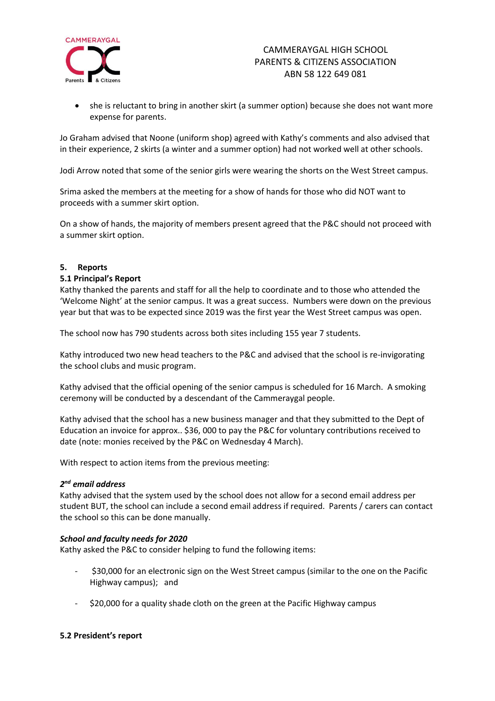

• she is reluctant to bring in another skirt (a summer option) because she does not want more expense for parents.

Jo Graham advised that Noone (uniform shop) agreed with Kathy's comments and also advised that in their experience, 2 skirts (a winter and a summer option) had not worked well at other schools.

Jodi Arrow noted that some of the senior girls were wearing the shorts on the West Street campus.

Srima asked the members at the meeting for a show of hands for those who did NOT want to proceeds with a summer skirt option.

On a show of hands, the majority of members present agreed that the P&C should not proceed with a summer skirt option.

# **5. Reports**

#### **5.1 Principal's Report**

Kathy thanked the parents and staff for all the help to coordinate and to those who attended the 'Welcome Night' at the senior campus. It was a great success. Numbers were down on the previous year but that was to be expected since 2019 was the first year the West Street campus was open.

The school now has 790 students across both sites including 155 year 7 students.

Kathy introduced two new head teachers to the P&C and advised that the school is re-invigorating the school clubs and music program.

Kathy advised that the official opening of the senior campus is scheduled for 16 March. A smoking ceremony will be conducted by a descendant of the Cammeraygal people.

Kathy advised that the school has a new business manager and that they submitted to the Dept of Education an invoice for approx.. \$36, 000 to pay the P&C for voluntary contributions received to date (note: monies received by the P&C on Wednesday 4 March).

With respect to action items from the previous meeting:

# *2 nd email address*

Kathy advised that the system used by the school does not allow for a second email address per student BUT, the school can include a second email address if required. Parents / carers can contact the school so this can be done manually.

#### *School and faculty needs for 2020*

Kathy asked the P&C to consider helping to fund the following items:

- \$30,000 for an electronic sign on the West Street campus (similar to the one on the Pacific Highway campus); and
- \$20,000 for a quality shade cloth on the green at the Pacific Highway campus

#### **5.2 President's report**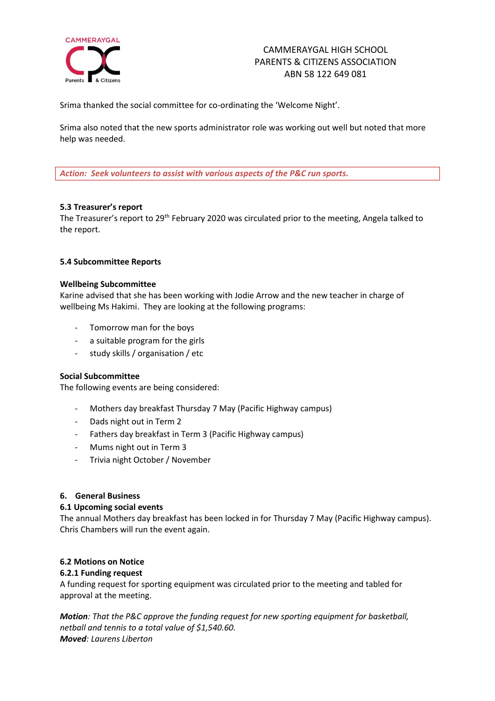

# CAMMERAYGAL HIGH SCHOOL PARENTS & CITIZENS ASSOCIATION ABN 58 122 649 081

Srima thanked the social committee for co-ordinating the 'Welcome Night'.

Srima also noted that the new sports administrator role was working out well but noted that more help was needed.

*Action: Seek volunteers to assist with various aspects of the P&C run sports.*

# **5.3 Treasurer's report**

The Treasurer's report to 29<sup>th</sup> February 2020 was circulated prior to the meeting, Angela talked to the report.

# **5.4 Subcommittee Reports**

#### **Wellbeing Subcommittee**

Karine advised that she has been working with Jodie Arrow and the new teacher in charge of wellbeing Ms Hakimi. They are looking at the following programs:

- Tomorrow man for the boys
- a suitable program for the girls
- study skills / organisation / etc

#### **Social Subcommittee**

The following events are being considered:

- Mothers day breakfast Thursday 7 May (Pacific Highway campus)
- Dads night out in Term 2
- Fathers day breakfast in Term 3 (Pacific Highway campus)
- Mums night out in Term 3
- Trivia night October / November

#### **6. General Business**

#### **6.1 Upcoming social events**

The annual Mothers day breakfast has been locked in for Thursday 7 May (Pacific Highway campus). Chris Chambers will run the event again.

#### **6.2 Motions on Notice**

#### **6.2.1 Funding request**

A funding request for sporting equipment was circulated prior to the meeting and tabled for approval at the meeting.

*Motion: That the P&C approve the funding request for new sporting equipment for basketball, netball and tennis to a total value of \$1,540.60. Moved: Laurens Liberton*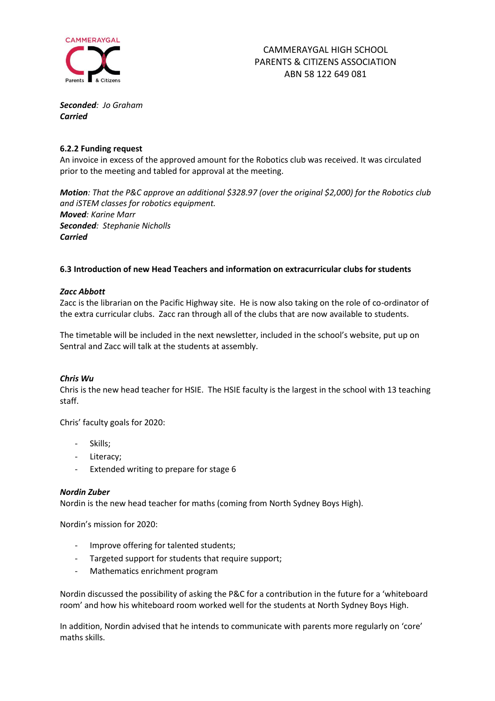

*Seconded: Jo Graham Carried*

#### **6.2.2 Funding request**

An invoice in excess of the approved amount for the Robotics club was received. It was circulated prior to the meeting and tabled for approval at the meeting.

*Motion: That the P&C approve an additional \$328.97 (over the original \$2,000) for the Robotics club and iSTEM classes for robotics equipment. Moved: Karine Marr Seconded: Stephanie Nicholls Carried*

# **6.3 Introduction of new Head Teachers and information on extracurricular clubs for students**

#### *Zacc Abbott*

Zacc is the librarian on the Pacific Highway site. He is now also taking on the role of co-ordinator of the extra curricular clubs. Zacc ran through all of the clubs that are now available to students.

The timetable will be included in the next newsletter, included in the school's website, put up on Sentral and Zacc will talk at the students at assembly.

#### *Chris Wu*

Chris is the new head teacher for HSIE. The HSIE faculty is the largest in the school with 13 teaching staff.

Chris' faculty goals for 2020:

- Skills;
- Literacy;
- Extended writing to prepare for stage 6

#### *Nordin Zuber*

Nordin is the new head teacher for maths (coming from North Sydney Boys High).

Nordin's mission for 2020:

- Improve offering for talented students;
- Targeted support for students that require support;
- Mathematics enrichment program

Nordin discussed the possibility of asking the P&C for a contribution in the future for a 'whiteboard room' and how his whiteboard room worked well for the students at North Sydney Boys High.

In addition, Nordin advised that he intends to communicate with parents more regularly on 'core' maths skills.